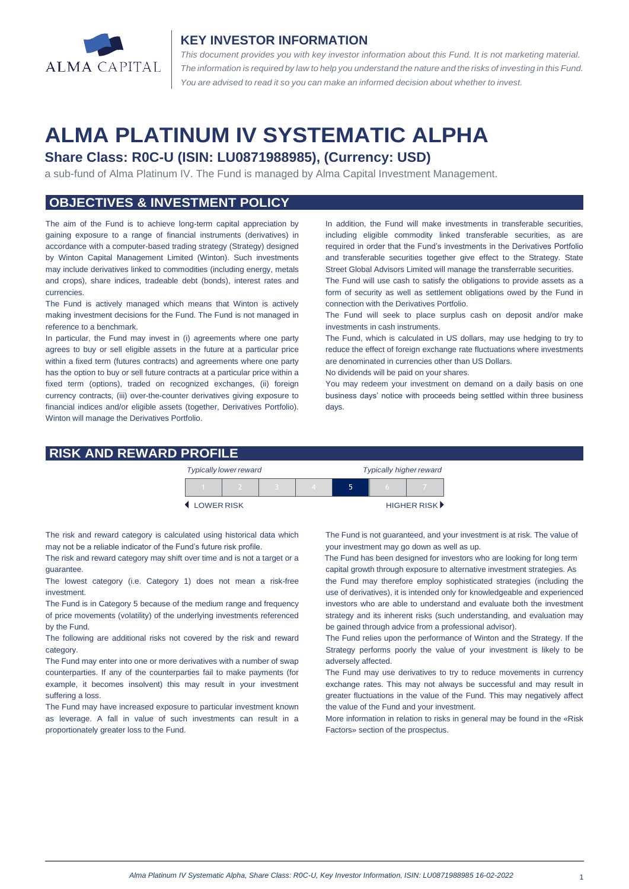

#### **KEY INVESTOR INFORMATION**

*This document provides you with key investor information about this Fund. It is not marketing material.*  The information is required by law to help you understand the nature and the risks of investing in this Fund. *You are advised to read it so you can make an informed decision about whether to invest.*

# **ALMA PLATINUM IV SYSTEMATIC ALPHA**

### **Share Class: R0C-U (ISIN: LU0871988985), (Currency: USD)**

a sub-fund of Alma Platinum IV. The Fund is managed by Alma Capital Investment Management.

### **OBJECTIVES & INVESTMENT POLICY**

The aim of the Fund is to achieve long-term capital appreciation by gaining exposure to a range of financial instruments (derivatives) in accordance with a computer-based trading strategy (Strategy) designed by Winton Capital Management Limited (Winton). Such investments may include derivatives linked to commodities (including energy, metals and crops), share indices, tradeable debt (bonds), interest rates and currencies.

The Fund is actively managed which means that Winton is actively making investment decisions for the Fund. The Fund is not managed in reference to a benchmark.

In particular, the Fund may invest in (i) agreements where one party agrees to buy or sell eligible assets in the future at a particular price within a fixed term (futures contracts) and agreements where one party has the option to buy or sell future contracts at a particular price within a fixed term (options), traded on recognized exchanges, (ii) foreign currency contracts, (iii) over-the-counter derivatives giving exposure to financial indices and/or eligible assets (together, Derivatives Portfolio). Winton will manage the Derivatives Portfolio.

In addition, the Fund will make investments in transferable securities, including eligible commodity linked transferable securities, as are required in order that the Fund's investments in the Derivatives Portfolio and transferable securities together give effect to the Strategy. State Street Global Advisors Limited will manage the transferrable securities.

The Fund will use cash to satisfy the obligations to provide assets as a form of security as well as settlement obligations owed by the Fund in connection with the Derivatives Portfolio.

The Fund will seek to place surplus cash on deposit and/or make investments in cash instruments.

The Fund, which is calculated in US dollars, may use hedging to try to reduce the effect of foreign exchange rate fluctuations where investments are denominated in currencies other than US Dollars.

No dividends will be paid on your shares.

You may redeem your investment on demand on a daily basis on one business days' notice with proceeds being settled within three business days

#### **RISK AND REWARD PROFILE**

|                     | <b>Typically lower reward</b> |  | <b>Typically higher reward</b> |  |  |                      |
|---------------------|-------------------------------|--|--------------------------------|--|--|----------------------|
|                     |                               |  |                                |  |  |                      |
| <b>4 LOWER RISK</b> |                               |  |                                |  |  | <b>HIGHER RISK</b> ▶ |

The risk and reward category is calculated using historical data which may not be a reliable indicator of the Fund's future risk profile.

The risk and reward category may shift over time and is not a target or a guarantee.

The lowest category (i.e. Category 1) does not mean a risk-free investment.

The Fund is in Category 5 because of the medium range and frequency of price movements (volatility) of the underlying investments referenced by the Fund.

The following are additional risks not covered by the risk and reward category.

The Fund may enter into one or more derivatives with a number of swap counterparties. If any of the counterparties fail to make payments (for example, it becomes insolvent) this may result in your investment suffering a loss.

The Fund may have increased exposure to particular investment known as leverage. A fall in value of such investments can result in a proportionately greater loss to the Fund.

The Fund is not guaranteed, and your investment is at risk. The value of your investment may go down as well as up.

 The Fund has been designed for investors who are looking for long term capital growth through exposure to alternative investment strategies. As

the Fund may therefore employ sophisticated strategies (including the use of derivatives), it is intended only for knowledgeable and experienced investors who are able to understand and evaluate both the investment strategy and its inherent risks (such understanding, and evaluation may be gained through advice from a professional advisor).

The Fund relies upon the performance of Winton and the Strategy. If the Strategy performs poorly the value of your investment is likely to be adversely affected.

The Fund may use derivatives to try to reduce movements in currency exchange rates. This may not always be successful and may result in greater fluctuations in the value of the Fund. This may negatively affect the value of the Fund and your investment.

More information in relation to risks in general may be found in the «Risk Factors» section of the prospectus.